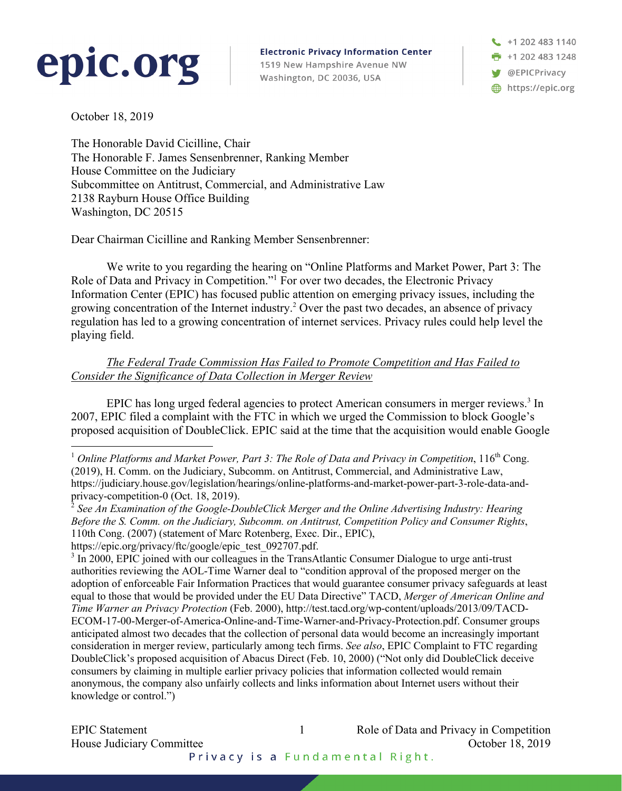## epic.org

**Electronic Privacy Information Center** 1519 New Hampshire Avenue NW Washington, DC 20036, USA

+1 202 483 1140  $\frac{1}{2}$  +1 202 483 1248 **W** @EPICPrivacy https://epic.org

October 18, 2019

The Honorable David Cicilline, Chair The Honorable F. James Sensenbrenner, Ranking Member House Committee on the Judiciary Subcommittee on Antitrust, Commercial, and Administrative Law 2138 Rayburn House Office Building Washington, DC 20515

Dear Chairman Cicilline and Ranking Member Sensenbrenner:

We write to you regarding the hearing on "Online Platforms and Market Power, Part 3: The Role of Data and Privacy in Competition."1 For over two decades, the Electronic Privacy Information Center (EPIC) has focused public attention on emerging privacy issues, including the growing concentration of the Internet industry.2 Over the past two decades, an absence of privacy regulation has led to a growing concentration of internet services. Privacy rules could help level the playing field.

*The Federal Trade Commission Has Failed to Promote Competition and Has Failed to Consider the Significance of Data Collection in Merger Review* 

EPIC has long urged federal agencies to protect American consumers in merger reviews.<sup>3</sup> In 2007, EPIC filed a complaint with the FTC in which we urged the Commission to block Google's proposed acquisition of DoubleClick. EPIC said at the time that the acquisition would enable Google

EPIC Statement 1 Role of Data and Privacy in Competition House Judiciary Committee<br>Privacy is a Fundamental Right. October 18, 2019

<sup>&</sup>lt;sup>1</sup> Online Platforms and Market Power, Part 3: The Role of Data and Privacy in Competition, 116<sup>th</sup> Cong. (2019), H. Comm. on the Judiciary, Subcomm. on Antitrust, Commercial, and Administrative Law, https://judiciary.house.gov/legislation/hearings/online-platforms-and-market-power-part-3-role-data-andprivacy-competition-0 (Oct. 18, 2019).

<sup>2</sup> *See An Examination of the Google-DoubleClick Merger and the Online Advertising Industry: Hearing Before the S. Comm. on the Judiciary, Subcomm. on Antitrust, Competition Policy and Consumer Rights*, 110th Cong. (2007) (statement of Marc Rotenberg, Exec. Dir., EPIC),

https://epic.org/privacy/ftc/google/epic\_test\_092707.pdf.

<sup>&</sup>lt;sup>3</sup> In 2000, EPIC joined with our colleagues in the TransAtlantic Consumer Dialogue to urge anti-trust authorities reviewing the AOL-Time Warner deal to "condition approval of the proposed merger on the adoption of enforceable Fair Information Practices that would guarantee consumer privacy safeguards at least equal to those that would be provided under the EU Data Directive" TACD, *Merger of American Online and Time Warner an Privacy Protection* (Feb. 2000), http://test.tacd.org/wp-content/uploads/2013/09/TACD-ECOM-17-00-Merger-of-America-Online-and-Time-Warner-and-Privacy-Protection.pdf. Consumer groups anticipated almost two decades that the collection of personal data would become an increasingly important consideration in merger review, particularly among tech firms. *See also*, EPIC Complaint to FTC regarding DoubleClick's proposed acquisition of Abacus Direct (Feb. 10, 2000) ("Not only did DoubleClick deceive consumers by claiming in multiple earlier privacy policies that information collected would remain anonymous, the company also unfairly collects and links information about Internet users without their knowledge or control.")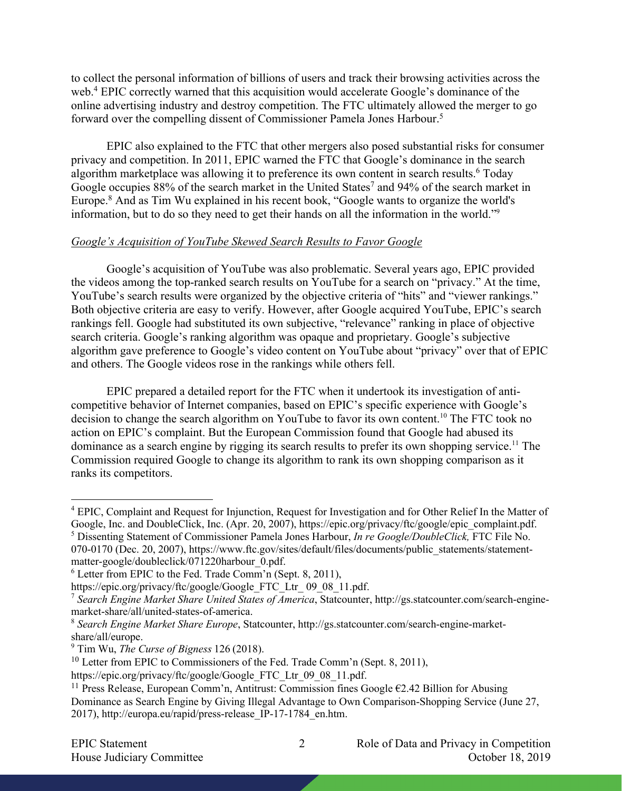to collect the personal information of billions of users and track their browsing activities across the web.<sup>4</sup> EPIC correctly warned that this acquisition would accelerate Google's dominance of the online advertising industry and destroy competition. The FTC ultimately allowed the merger to go forward over the compelling dissent of Commissioner Pamela Jones Harbour.5

EPIC also explained to the FTC that other mergers also posed substantial risks for consumer privacy and competition. In 2011, EPIC warned the FTC that Google's dominance in the search algorithm marketplace was allowing it to preference its own content in search results.<sup>6</sup> Today Google occupies  $88\%$  of the search market in the United States<sup>7</sup> and  $94\%$  of the search market in Europe.8 And as Tim Wu explained in his recent book, "Google wants to organize the world's information, but to do so they need to get their hands on all the information in the world."9

## *Google's Acquisition of YouTube Skewed Search Results to Favor Google*

Google's acquisition of YouTube was also problematic. Several years ago, EPIC provided the videos among the top-ranked search results on YouTube for a search on "privacy." At the time, YouTube's search results were organized by the objective criteria of "hits" and "viewer rankings." Both objective criteria are easy to verify. However, after Google acquired YouTube, EPIC's search rankings fell. Google had substituted its own subjective, "relevance" ranking in place of objective search criteria. Google's ranking algorithm was opaque and proprietary. Google's subjective algorithm gave preference to Google's video content on YouTube about "privacy" over that of EPIC and others. The Google videos rose in the rankings while others fell.

EPIC prepared a detailed report for the FTC when it undertook its investigation of anticompetitive behavior of Internet companies, based on EPIC's specific experience with Google's decision to change the search algorithm on YouTube to favor its own content.<sup>10</sup> The FTC took no action on EPIC's complaint. But the European Commission found that Google had abused its dominance as a search engine by rigging its search results to prefer its own shopping service.<sup>11</sup> The Commission required Google to change its algorithm to rank its own shopping comparison as it ranks its competitors.

<sup>&</sup>lt;sup>4</sup> EPIC, Complaint and Request for Injunction, Request for Investigation and for Other Relief In the Matter of Google, Inc. and DoubleClick, Inc. (Apr. 20, 2007), https://epic.org/privacy/ftc/google/epic\_complaint.pdf.

<sup>5</sup> Dissenting Statement of Commissioner Pamela Jones Harbour, *In re Google/DoubleClick,* FTC File No. 070-0170 (Dec. 20, 2007), https://www.ftc.gov/sites/default/files/documents/public\_statements/statementmatter-google/doubleclick/071220harbour\_0.pdf.

 $6$  Letter from EPIC to the Fed. Trade Comm'n (Sept. 8, 2011),

https://epic.org/privacy/ftc/google/Google\_FTC\_Ltr\_ 09\_08\_11.pdf.

<sup>7</sup> *Search Engine Market Share United States of America*, Statcounter, http://gs.statcounter.com/search-enginemarket-share/all/united-states-of-america.

<sup>8</sup> *Search Engine Market Share Europe*, Statcounter, http://gs.statcounter.com/search-engine-marketshare/all/europe.

<sup>9</sup> Tim Wu, *The Curse of Bigness* 126 (2018).

<sup>&</sup>lt;sup>10</sup> Letter from EPIC to Commissioners of the Fed. Trade Comm'n (Sept. 8, 2011),

https://epic.org/privacy/ftc/google/Google\_FTC\_Ltr\_09\_08\_11.pdf.

<sup>&</sup>lt;sup>11</sup> Press Release, European Comm'n, Antitrust: Commission fines Google  $E2.42$  Billion for Abusing Dominance as Search Engine by Giving Illegal Advantage to Own Comparison-Shopping Service (June 27, 2017), http://europa.eu/rapid/press-release\_IP-17-1784\_en.htm.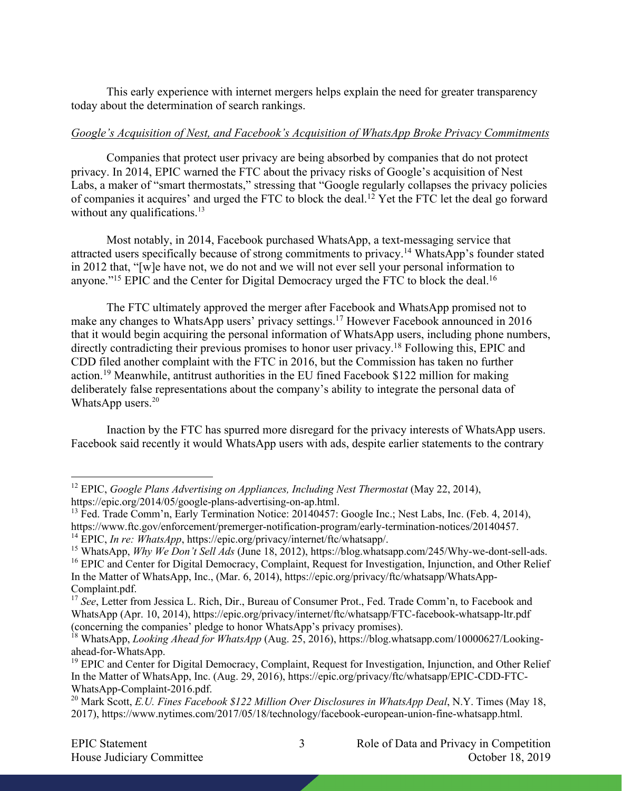This early experience with internet mergers helps explain the need for greater transparency today about the determination of search rankings.

## *Google's Acquisition of Nest, and Facebook's Acquisition of WhatsApp Broke Privacy Commitments*

Companies that protect user privacy are being absorbed by companies that do not protect privacy. In 2014, EPIC warned the FTC about the privacy risks of Google's acquisition of Nest Labs, a maker of "smart thermostats," stressing that "Google regularly collapses the privacy policies of companies it acquires' and urged the FTC to block the deal.12 Yet the FTC let the deal go forward without any qualifications. $13$ 

Most notably, in 2014, Facebook purchased WhatsApp, a text-messaging service that attracted users specifically because of strong commitments to privacy.14 WhatsApp's founder stated in 2012 that, "[w]e have not, we do not and we will not ever sell your personal information to anyone."<sup>15</sup> EPIC and the Center for Digital Democracy urged the FTC to block the deal.<sup>16</sup>

The FTC ultimately approved the merger after Facebook and WhatsApp promised not to make any changes to WhatsApp users' privacy settings.17 However Facebook announced in 2016 that it would begin acquiring the personal information of WhatsApp users, including phone numbers, directly contradicting their previous promises to honor user privacy.<sup>18</sup> Following this, EPIC and CDD filed another complaint with the FTC in 2016, but the Commission has taken no further action.19 Meanwhile, antitrust authorities in the EU fined Facebook \$122 million for making deliberately false representations about the company's ability to integrate the personal data of WhatsApp users. $20$ 

Inaction by the FTC has spurred more disregard for the privacy interests of WhatsApp users. Facebook said recently it would WhatsApp users with ads, despite earlier statements to the contrary

<sup>12</sup> EPIC, *Google Plans Advertising on Appliances, Including Nest Thermostat* (May 22, 2014), https://epic.org/2014/05/google-plans-advertising-on-ap.html.

<sup>&</sup>lt;sup>13</sup> Fed. Trade Comm'n, Early Termination Notice: 20140457: Google Inc.; Nest Labs, Inc. (Feb. 4, 2014), https://www.ftc.gov/enforcement/premerger-notification-program/early-termination-notices/20140457. <sup>14</sup> EPIC, *In re: WhatsApp*, https://epic.org/privacy/internet/ftc/whatsapp/.

<sup>&</sup>lt;sup>15</sup> WhatsApp, *Why We Don't Sell Ads* (June 18, 2012), https://blog.whatsapp.com/245/Why-we-dont-sell-ads.

<sup>&</sup>lt;sup>16</sup> EPIC and Center for Digital Democracy, Complaint, Request for Investigation, Injunction, and Other Relief In the Matter of WhatsApp, Inc., (Mar. 6, 2014), https://epic.org/privacy/ftc/whatsapp/WhatsApp-Complaint.pdf.

<sup>&</sup>lt;sup>17</sup> See, Letter from Jessica L. Rich, Dir., Bureau of Consumer Prot., Fed. Trade Comm'n, to Facebook and WhatsApp (Apr. 10, 2014), https://epic.org/privacy/internet/ftc/whatsapp/FTC-facebook-whatsapp-ltr.pdf (concerning the companies' pledge to honor WhatsApp's privacy promises).

<sup>&</sup>lt;sup>18</sup> WhatsApp, *Looking Ahead for WhatsApp* (Aug. 25, 2016), https://blog.whatsapp.com/10000627/Lookingahead-for-WhatsApp.

<sup>&</sup>lt;sup>19</sup> EPIC and Center for Digital Democracy, Complaint, Request for Investigation, Injunction, and Other Relief In the Matter of WhatsApp, Inc. (Aug. 29, 2016), https://epic.org/privacy/ftc/whatsapp/EPIC-CDD-FTC-WhatsApp-Complaint-2016.pdf.

<sup>&</sup>lt;sup>20</sup> Mark Scott, *E.U. Fines Facebook \$122 Million Over Disclosures in WhatsApp Deal*, N.Y. Times (May 18, 2017), https://www.nytimes.com/2017/05/18/technology/facebook-european-union-fine-whatsapp.html.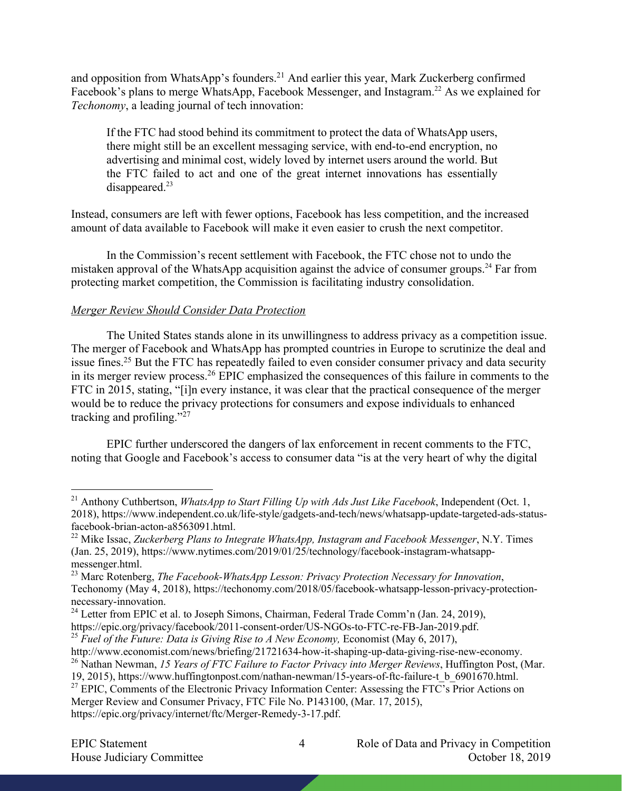and opposition from WhatsApp's founders.<sup>21</sup> And earlier this year, Mark Zuckerberg confirmed Facebook's plans to merge WhatsApp, Facebook Messenger, and Instagram.<sup>22</sup> As we explained for *Techonomy*, a leading journal of tech innovation:

If the FTC had stood behind its commitment to protect the data of WhatsApp users, there might still be an excellent messaging service, with end-to-end encryption, no advertising and minimal cost, widely loved by internet users around the world. But the FTC failed to act and one of the great internet innovations has essentially disappeared.<sup>23</sup>

Instead, consumers are left with fewer options, Facebook has less competition, and the increased amount of data available to Facebook will make it even easier to crush the next competitor.

In the Commission's recent settlement with Facebook, the FTC chose not to undo the mistaken approval of the WhatsApp acquisition against the advice of consumer groups.<sup>24</sup> Far from protecting market competition, the Commission is facilitating industry consolidation.

## *Merger Review Should Consider Data Protection*

The United States stands alone in its unwillingness to address privacy as a competition issue. The merger of Facebook and WhatsApp has prompted countries in Europe to scrutinize the deal and issue fines.<sup>25</sup> But the FTC has repeatedly failed to even consider consumer privacy and data security in its merger review process.26 EPIC emphasized the consequences of this failure in comments to the FTC in 2015, stating, "[i]n every instance, it was clear that the practical consequence of the merger would be to reduce the privacy protections for consumers and expose individuals to enhanced tracking and profiling." $^{27}$ 

EPIC further underscored the dangers of lax enforcement in recent comments to the FTC, noting that Google and Facebook's access to consumer data "is at the very heart of why the digital

https://epic.org/privacy/facebook/2011-consent-order/US-NGOs-to-FTC-re-FB-Jan-2019.pdf.

<sup>25</sup> Fuel of the Future: Data is Giving Rise to A New Economy, Economist (May 6, 2017),

<sup>26</sup> Nathan Newman, *15 Years of FTC Failure to Factor Privacy into Merger Reviews*, Huffington Post, (Mar.

Merger Review and Consumer Privacy, FTC File No. P143100, (Mar. 17, 2015),

https://epic.org/privacy/internet/ftc/Merger-Remedy-3-17.pdf.

<sup>21</sup> Anthony Cuthbertson, *WhatsApp to Start Filling Up with Ads Just Like Facebook*, Independent (Oct. 1, 2018), https://www.independent.co.uk/life-style/gadgets-and-tech/news/whatsapp-update-targeted-ads-statusfacebook-brian-acton-a8563091.html.

<sup>22</sup> Mike Issac, *Zuckerberg Plans to Integrate WhatsApp, Instagram and Facebook Messenger*, N.Y. Times (Jan. 25, 2019), https://www.nytimes.com/2019/01/25/technology/facebook-instagram-whatsappmessenger.html.

<sup>23</sup> Marc Rotenberg, *The Facebook-WhatsApp Lesson: Privacy Protection Necessary for Innovation*, Techonomy (May 4, 2018), https://techonomy.com/2018/05/facebook-whatsapp-lesson-privacy-protectionnecessary-innovation.

 $24$  Letter from EPIC et al. to Joseph Simons, Chairman, Federal Trade Comm'n (Jan. 24, 2019),

http://www.economist.com/news/briefing/21721634-how-it-shaping-up-data-giving-rise-new-economy.

<sup>19, 2015),</sup> https://www.huffingtonpost.com/nathan-newman/15-years-of-ftc-failure-t\_b\_6901670.html. <sup>27</sup> EPIC, Comments of the Electronic Privacy Information Center: Assessing the FTC's Prior Actions on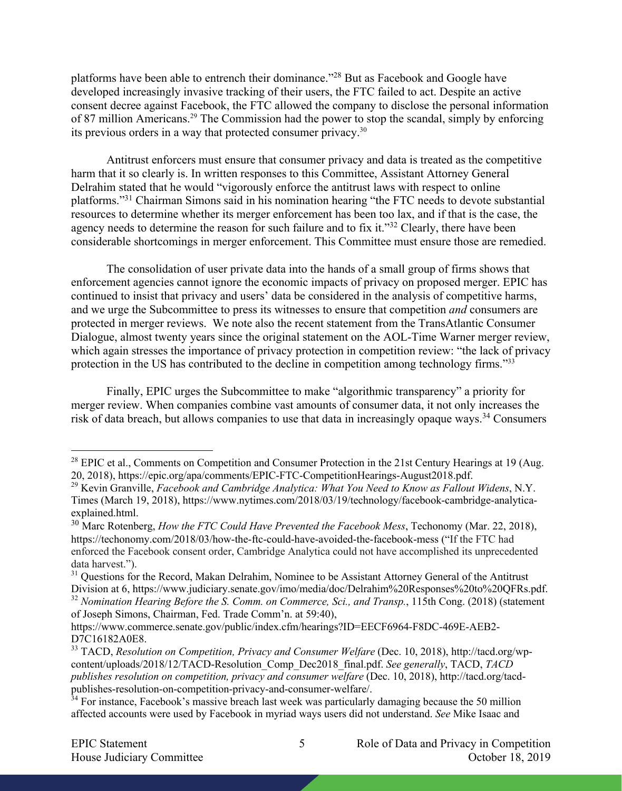platforms have been able to entrench their dominance."28 But as Facebook and Google have developed increasingly invasive tracking of their users, the FTC failed to act. Despite an active consent decree against Facebook, the FTC allowed the company to disclose the personal information of 87 million Americans.<sup>29</sup> The Commission had the power to stop the scandal, simply by enforcing its previous orders in a way that protected consumer privacy.30

Antitrust enforcers must ensure that consumer privacy and data is treated as the competitive harm that it so clearly is. In written responses to this Committee, Assistant Attorney General Delrahim stated that he would "vigorously enforce the antitrust laws with respect to online platforms."31 Chairman Simons said in his nomination hearing "the FTC needs to devote substantial resources to determine whether its merger enforcement has been too lax, and if that is the case, the agency needs to determine the reason for such failure and to fix it."<sup>32</sup> Clearly, there have been considerable shortcomings in merger enforcement. This Committee must ensure those are remedied.

The consolidation of user private data into the hands of a small group of firms shows that enforcement agencies cannot ignore the economic impacts of privacy on proposed merger. EPIC has continued to insist that privacy and users' data be considered in the analysis of competitive harms, and we urge the Subcommittee to press its witnesses to ensure that competition *and* consumers are protected in merger reviews. We note also the recent statement from the TransAtlantic Consumer Dialogue, almost twenty years since the original statement on the AOL-Time Warner merger review, which again stresses the importance of privacy protection in competition review: "the lack of privacy protection in the US has contributed to the decline in competition among technology firms."<sup>33</sup>

Finally, EPIC urges the Subcommittee to make "algorithmic transparency" a priority for merger review. When companies combine vast amounts of consumer data, it not only increases the risk of data breach, but allows companies to use that data in increasingly opaque ways.<sup>34</sup> Consumers

<sup>&</sup>lt;sup>28</sup> EPIC et al., Comments on Competition and Consumer Protection in the 21st Century Hearings at 19 (Aug. 20, 2018), https://epic.org/apa/comments/EPIC-FTC-CompetitionHearings-August2018.pdf.

<sup>29</sup> Kevin Granville, *Facebook and Cambridge Analytica: What You Need to Know as Fallout Widens*, N.Y. Times (March 19, 2018), https://www.nytimes.com/2018/03/19/technology/facebook-cambridge-analyticaexplained.html.

<sup>30</sup> Marc Rotenberg, *How the FTC Could Have Prevented the Facebook Mess*, Techonomy (Mar. 22, 2018), https://techonomy.com/2018/03/how-the-ftc-could-have-avoided-the-facebook-mess ("If the FTC had enforced the Facebook consent order, Cambridge Analytica could not have accomplished its unprecedented data harvest.").

<sup>&</sup>lt;sup>31</sup> Questions for the Record, Makan Delrahim, Nominee to be Assistant Attorney General of the Antitrust Division at 6, https://www.judiciary.senate.gov/imo/media/doc/Delrahim%20Responses%20to%20QFRs.pdf.

<sup>32</sup> *Nomination Hearing Before the S. Comm. on Commerce, Sci., and Transp.*, 115th Cong. (2018) (statement of Joseph Simons, Chairman, Fed. Trade Comm'n. at 59:40),

https://www.commerce.senate.gov/public/index.cfm/hearings?ID=EECF6964-F8DC-469E-AEB2- D7C16182A0E8.

<sup>33</sup> TACD, *Resolution on Competition, Privacy and Consumer Welfare* (Dec. 10, 2018), http://tacd.org/wpcontent/uploads/2018/12/TACD-Resolution\_Comp\_Dec2018\_final.pdf. *See generally*, TACD, *TACD publishes resolution on competition, privacy and consumer welfare* (Dec. 10, 2018), http://tacd.org/tacdpublishes-resolution-on-competition-privacy-and-consumer-welfare/.

<sup>&</sup>lt;sup>34</sup> For instance, Facebook's massive breach last week was particularly damaging because the 50 million affected accounts were used by Facebook in myriad ways users did not understand. *See* Mike Isaac and